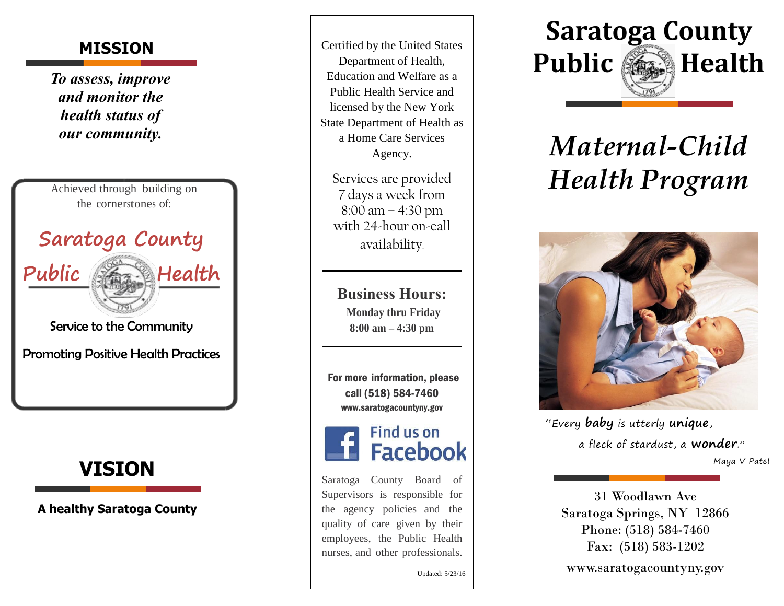*To assess, improve and monitor the health status of our community.*



Service to the Community

Promoting Positive Health Practices



**A healthy Saratoga County**

**MISSION** Certified by the United States Department of Health, Education and Welfare as a Public Health Service and licensed by the New York State Department of Health as a Home Care Services Agency .

> Services are provided 7 days a week from 8:00 am – 4:30 pm with 24 -hour on -call availability.

**Business Hours: Monday thru Friday 8:00 am – 4 : 30 pm**

For more information, please call (518) 584 -7460 [www.saratogacountyny.go](http://www.saratogacountyny.gov/)[v](http://www.saratogacountyny.gov/)



Saratoga County Board of Supervisors is responsible for the agency policies and the quality of care given by their employees, the Public Health nurses, and other professionals.

Updated: 5/23/16



# *Maternal -Child* **Health Program**



"Every **baby** is utterly **unique**, a fleck of stardust, a **wonder** . " Maya V Pate l

31 Woodlawn Ave Saratoga Springs, NY 12866 Phone: (518) 584 -7460 Fax: (518) 583 -1202

www.saratogacountyny.gov